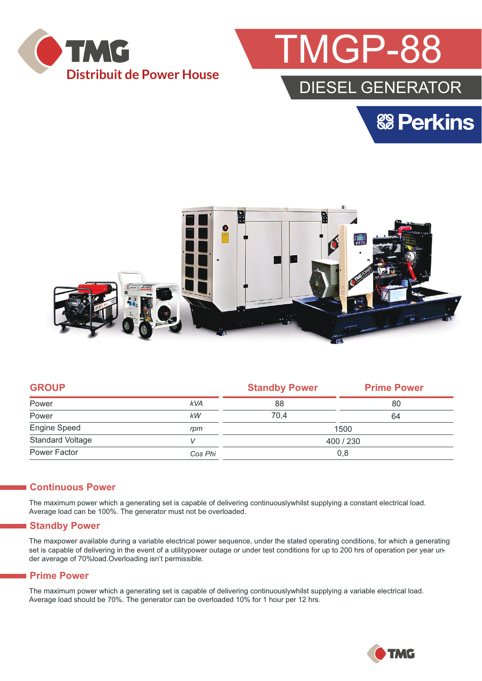



# DIESEL GENERATOR

**& Perkins** 



|            | <b>Standby Power</b> | <b>Prime Power</b> |  |
|------------|----------------------|--------------------|--|
| <b>kVA</b> | 88                   | 80                 |  |
| kW         | 70.4                 | 64                 |  |
| rpm        | 1500                 |                    |  |
|            | 400 / 230            |                    |  |
| Cos Phi    | 0,8                  |                    |  |
|            |                      |                    |  |

#### **Continuous Power**

The maximum power which a generating set is capable of delivering continuouslywhilst supplying a constant electrical load. Average load can be 100%. The generator must not be overloaded.

#### **Standby Power**

The maxpower available during a variable electrical power sequence, under the stated operating conditions, for which a generating set is capable of delivering in the event of a utilitypower outage or under test conditions for up to 200 hrs of operation per year under average of 70%load.Overloading isn't permissible.

#### **Prime Power**

The maximum power which a generating set is capable of delivering continuouslywhilst supplying a variable electrical load. Average load should be 70%. The generator can be overloaded 10% for 1 hour per 12 hrs.

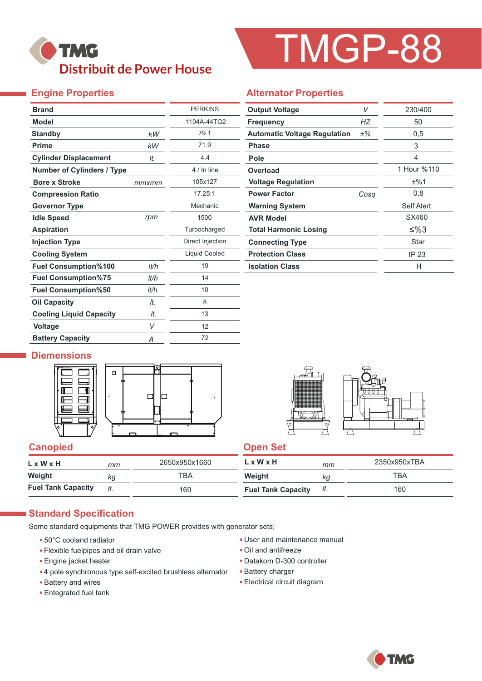# **TMG Distribuit de Power House**

# TMGP-88

## **Engine Properties**

| <b>Brand</b>                      |       | <b>PERKINS</b>       |
|-----------------------------------|-------|----------------------|
| <b>Model</b>                      |       | 1104A-44TG2          |
| <b>Standby</b>                    | kW    | 79.1                 |
| <b>Prime</b>                      | kW    | 71.9                 |
| <b>Cylinder Displacement</b>      | It.   | 4.4                  |
| <b>Number of Cylinders / Type</b> |       | 4 / In line          |
| <b>Bore x Stroke</b>              | mmxmm | 105x127              |
| <b>Compression Ratio</b>          |       | 17.25:1              |
| <b>Governor Type</b>              |       | Mechanic             |
| <b>Idle Speed</b>                 | rpm   | 1500                 |
| <b>Aspiration</b>                 |       | Turbocharged         |
| <b>Injection Type</b>             |       | Direct Injection     |
| <b>Cooling System</b>             |       | <b>Liquid Cooled</b> |
| <b>Fuel Consumption%100</b>       | lt/h  | 19                   |
| <b>Fuel Consumption%75</b>        | lt/h  | 14                   |
| <b>Fuel Consumption%50</b>        | It/h  | 10                   |
| <b>Oil Capacity</b>               | lt.   | 8                    |
| <b>Cooling Liquid Capacity</b>    | It.   | 13                   |
| <b>Voltage</b>                    | V     | 12                   |
| <b>Battery Capacity</b>           | Α     | 72                   |

#### **Alternator Properties**

| <b>Output Voltage</b>               | V     | 230/400     |
|-------------------------------------|-------|-------------|
| <b>Frequency</b>                    | НZ    | 50          |
| <b>Automatic Voltage Regulation</b> | $±\%$ | 0,5         |
| <b>Phase</b>                        |       | 3           |
| Pole                                |       | 4           |
| Overload                            |       | 1 Hour %110 |
| <b>Voltage Regulation</b>           |       | ±%1         |
| <b>Power Factor</b>                 | Cosa  | 0,8         |
| <b>Warning System</b>               |       | Self Alert  |
| <b>AVR Model</b>                    |       | SX460       |
| <b>Total Harmonic Losing</b>        |       | ≤%3         |
| <b>Connecting Type</b>              |       | Star        |
| <b>Protection Class</b>             |       | IP 23       |
| <b>Isolation Class</b>              |       | н           |

#### **Diemensions**





### **Canopied Canopied Canopied Canopied Canopied Canopied Canopied Canopied Canopied Canopied Canopied Canopied Canopied Canopied Canopied Canopied Canopied Canopied Canopied Canopied Canopied Canopied Canopied Canopied Canop**

| LxWxH                     | mт  | 2650x950x1660 | $L \times W \times H$     | mm  | 2350x950xTBA |
|---------------------------|-----|---------------|---------------------------|-----|--------------|
| Weight                    | kg  | TBA           | Weight                    | ΚG  | <b>TBA</b>   |
| <b>Fuel Tank Capacity</b> | It. | 160           | <b>Fuel Tank Capacity</b> | It. | 160          |

### **Standard Specification**

Some standard equipments that TMG POWER provides with generator sets;

- 50°C cooland radiator
- Flexible fuelpipes and oil drain valve
- Engine jacket heater
- 4 pole synchronous type self-excited brushless alternator
- Battery and wires
- Entegrated fuel tank
- User and maintenance manual
- Oil and antifreeze
- Datakom D-300 controller
- Battery charger
- Electrical circuit diagram